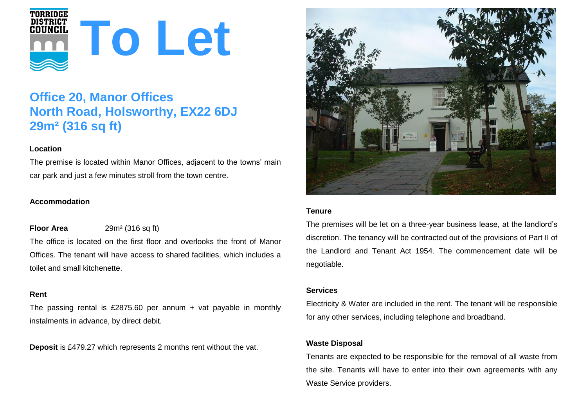

# **Office 20, Manor Offices North Road, Holsworthy, EX22 6DJ 29m² (316 sq ft)**

## **Location**

The premise is located within Manor Offices, adjacent to the towns' main car park and just a few minutes stroll from the town centre.

# **Accommodation**

# **Floor Area** 29m<sup>2</sup> (316 sq ft)

The office is located on the first floor and overlooks the front of Manor Offices. The tenant will have access to shared facilities, which includes a toilet and small kitchenette.

## **Rent**

The passing rental is £2875.60 per annum + vat payable in monthly instalments in advance, by direct debit.

**Deposit** is £479.27 which represents 2 months rent without the vat.



## **Tenure**

The premises will be let on a three-year business lease, at the landlord's discretion. The tenancy will be contracted out of the provisions of Part II of the Landlord and Tenant Act 1954. The commencement date will be negotiable.

## **Services**

Electricity & Water are included in the rent. The tenant will be responsible for any other services, including telephone and broadband.

## **Waste Disposal**

Tenants are expected to be responsible for the removal of all waste from the site. Tenants will have to enter into their own agreements with any Waste Service providers.